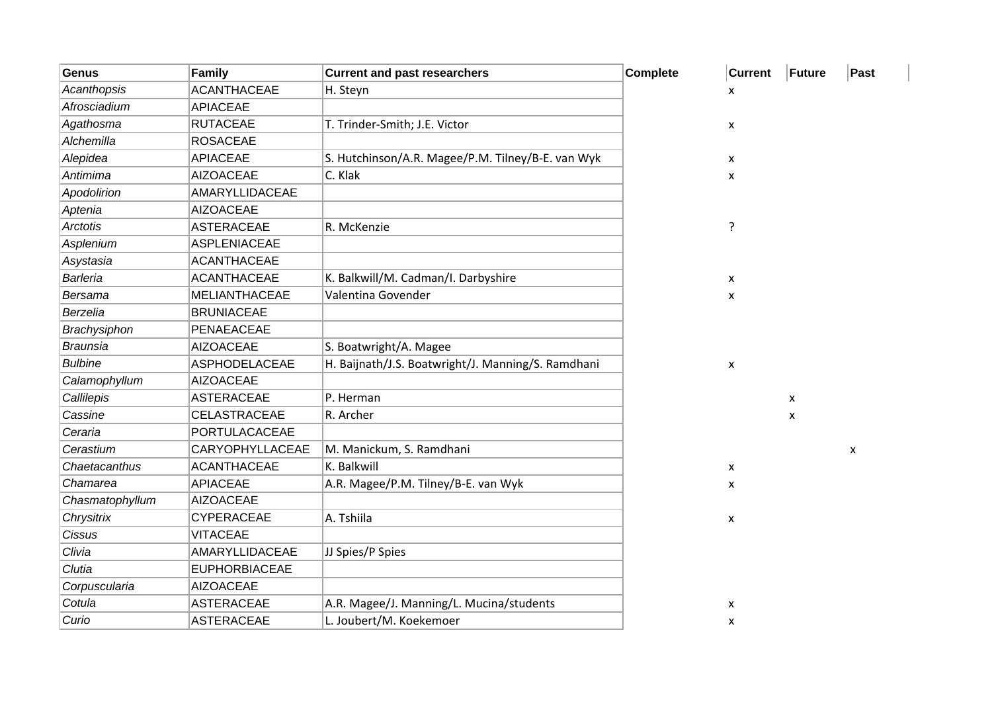| <b>Genus</b>    | <b>Family</b>         | <b>Current and past researchers</b>                | <b>Complete</b> | <b>Current</b> | Future         | Past |
|-----------------|-----------------------|----------------------------------------------------|-----------------|----------------|----------------|------|
| Acanthopsis     | <b>ACANTHACEAE</b>    | H. Steyn                                           |                 | x              |                |      |
| Afrosciadium    | <b>APIACEAE</b>       |                                                    |                 |                |                |      |
| Agathosma       | <b>RUTACEAE</b>       | T. Trinder-Smith; J.E. Victor                      |                 | X              |                |      |
| Alchemilla      | <b>ROSACEAE</b>       |                                                    |                 |                |                |      |
| Alepidea        | <b>APIACEAE</b>       | S. Hutchinson/A.R. Magee/P.M. Tilney/B-E. van Wyk  |                 | X              |                |      |
| Antimima        | <b>AIZOACEAE</b>      | C. Klak                                            |                 | x              |                |      |
| Apodolirion     | <b>AMARYLLIDACEAE</b> |                                                    |                 |                |                |      |
| Aptenia         | <b>AIZOACEAE</b>      |                                                    |                 |                |                |      |
| Arctotis        | <b>ASTERACEAE</b>     | R. McKenzie                                        |                 | ?              |                |      |
| Asplenium       | <b>ASPLENIACEAE</b>   |                                                    |                 |                |                |      |
| Asystasia       | <b>ACANTHACEAE</b>    |                                                    |                 |                |                |      |
| Barleria        | <b>ACANTHACEAE</b>    | K. Balkwill/M. Cadman/I. Darbyshire                |                 | X              |                |      |
| <b>Bersama</b>  | <b>MELIANTHACEAE</b>  | Valentina Govender                                 |                 | X              |                |      |
| Berzelia        | <b>BRUNIACEAE</b>     |                                                    |                 |                |                |      |
| Brachysiphon    | PENAEACEAE            |                                                    |                 |                |                |      |
| <b>Braunsia</b> | <b>AIZOACEAE</b>      | S. Boatwright/A. Magee                             |                 |                |                |      |
| <b>Bulbine</b>  | <b>ASPHODELACEAE</b>  | H. Baijnath/J.S. Boatwright/J. Manning/S. Ramdhani |                 | X              |                |      |
| Calamophyllum   | <b>AIZOACEAE</b>      |                                                    |                 |                |                |      |
| Callilepis      | <b>ASTERACEAE</b>     | P. Herman                                          |                 |                | $\pmb{\times}$ |      |
| Cassine         | CELASTRACEAE          | R. Archer                                          |                 |                | X              |      |
| Ceraria         | PORTULACACEAE         |                                                    |                 |                |                |      |
| Cerastium       | CARYOPHYLLACEAE       | M. Manickum, S. Ramdhani                           |                 |                |                | X    |
| Chaetacanthus   | <b>ACANTHACEAE</b>    | K. Balkwill                                        |                 | X              |                |      |
| Chamarea        | <b>APIACEAE</b>       | A.R. Magee/P.M. Tilney/B-E. van Wyk                |                 | X              |                |      |
| Chasmatophyllum | <b>AIZOACEAE</b>      |                                                    |                 |                |                |      |
| Chrysitrix      | CYPERACEAE            | A. Tshiila                                         |                 | X              |                |      |
| Cissus          | <b>VITACEAE</b>       |                                                    |                 |                |                |      |
| Clivia          | AMARYLLIDACEAE        | JJ Spies/P Spies                                   |                 |                |                |      |
| Clutia          | <b>EUPHORBIACEAE</b>  |                                                    |                 |                |                |      |
| Corpuscularia   | <b>AIZOACEAE</b>      |                                                    |                 |                |                |      |
| Cotula          | <b>ASTERACEAE</b>     | A.R. Magee/J. Manning/L. Mucina/students           |                 | $\pmb{\times}$ |                |      |
| Curio           | <b>ASTERACEAE</b>     | L. Joubert/M. Koekemoer                            |                 | x              |                |      |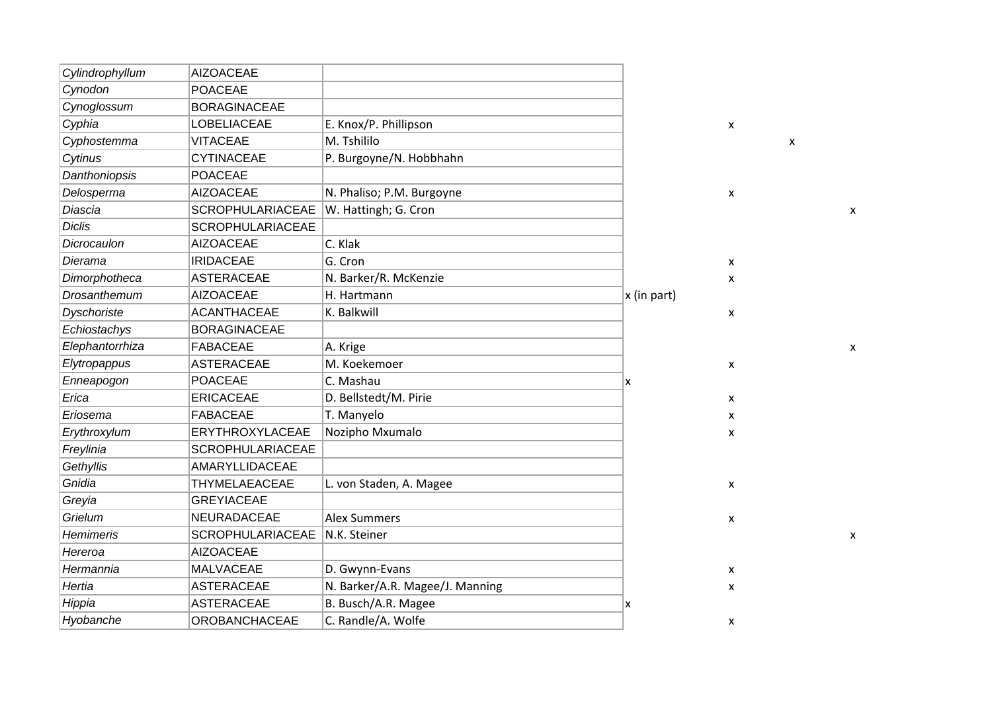| Cylindrophyllum    | <b>AIZOACEAE</b>        |                                 |             |
|--------------------|-------------------------|---------------------------------|-------------|
| Cynodon            | <b>POACEAE</b>          |                                 |             |
| Cynoglossum        | <b>BORAGINACEAE</b>     |                                 |             |
| Cyphia             | <b>LOBELIACEAE</b>      | E. Knox/P. Phillipson           |             |
| Cyphostemma        | <b>VITACEAE</b>         | M. Tshililo                     |             |
| Cytinus            | <b>CYTINACEAE</b>       | P. Burgoyne/N. Hobbhahn         |             |
| Danthoniopsis      | <b>POACEAE</b>          |                                 |             |
| Delosperma         | <b>AIZOACEAE</b>        | N. Phaliso; P.M. Burgoyne       |             |
| Diascia            | <b>SCROPHULARIACEAE</b> | W. Hattingh; G. Cron            |             |
| <b>Diclis</b>      | <b>SCROPHULARIACEAE</b> |                                 |             |
| Dicrocaulon        | <b>AIZOACEAE</b>        | C. Klak                         |             |
| Dierama            | <b>IRIDACEAE</b>        | G. Cron                         |             |
| Dimorphotheca      | <b>ASTERACEAE</b>       | N. Barker/R. McKenzie           |             |
| Drosanthemum       | <b>AIZOACEAE</b>        | H. Hartmann                     | x (in part) |
| <b>Dyschoriste</b> | <b>ACANTHACEAE</b>      | K. Balkwill                     |             |
| Echiostachys       | <b>BORAGINACEAE</b>     |                                 |             |
| Elephantorrhiza    | <b>FABACEAE</b>         | A. Krige                        |             |
| Elytropappus       | <b>ASTERACEAE</b>       | M. Koekemoer                    |             |
| Enneapogon         | <b>POACEAE</b>          | C. Mashau                       | x           |
| Erica              | <b>ERICACEAE</b>        | D. Bellstedt/M. Pirie           |             |
| Eriosema           | <b>FABACEAE</b>         | T. Manyelo                      |             |
| Erythroxylum       | ERYTHROXYLACEAE         | Nozipho Mxumalo                 |             |
| Freylinia          | <b>SCROPHULARIACEAE</b> |                                 |             |
| Gethyllis          | AMARYLLIDACEAE          |                                 |             |
| Gnidia             | THYMELAEACEAE           | L. von Staden, A. Magee         |             |
| Greyia             | <b>GREYIACEAE</b>       |                                 |             |
| Grielum            | NEURADACEAE             | <b>Alex Summers</b>             |             |
| <b>Hemimeris</b>   | <b>SCROPHULARIACEAE</b> | N.K. Steiner                    |             |
| Hereroa            | <b>AIZOACEAE</b>        |                                 |             |
| Hermannia          | <b>MALVACEAE</b>        | D. Gwynn-Evans                  |             |
| Hertia             | <b>ASTERACEAE</b>       | N. Barker/A.R. Magee/J. Manning |             |
| Hippia             | <b>ASTERACEAE</b>       | B. Busch/A.R. Magee             | Ιx          |
| Hyobanche          | <b>OROBANCHACEAE</b>    | C. Randle/A. Wolfe              |             |

 $\mathsf X$ 

 $\mathbf x$ 

 $\mathsf{X}$ 

 $\mathbf{x}$ 

 $\mathbf{x}$  $\mathbf{x}$ 

 $\mathbf{x}$ 

 $\mathbf{x}$ 

 $\mathbf{x}$  $\mathbf{x}$  $\mathbf{x}$ 

 $\mathbf{x}$ 

 $\mathbf{x}$ 

 $\mathbf{x}$  $\mathbf{x}$ 

 $\mathbf{x}$ 

 $\boldsymbol{\mathsf{x}}$ 

 $\mathsf X$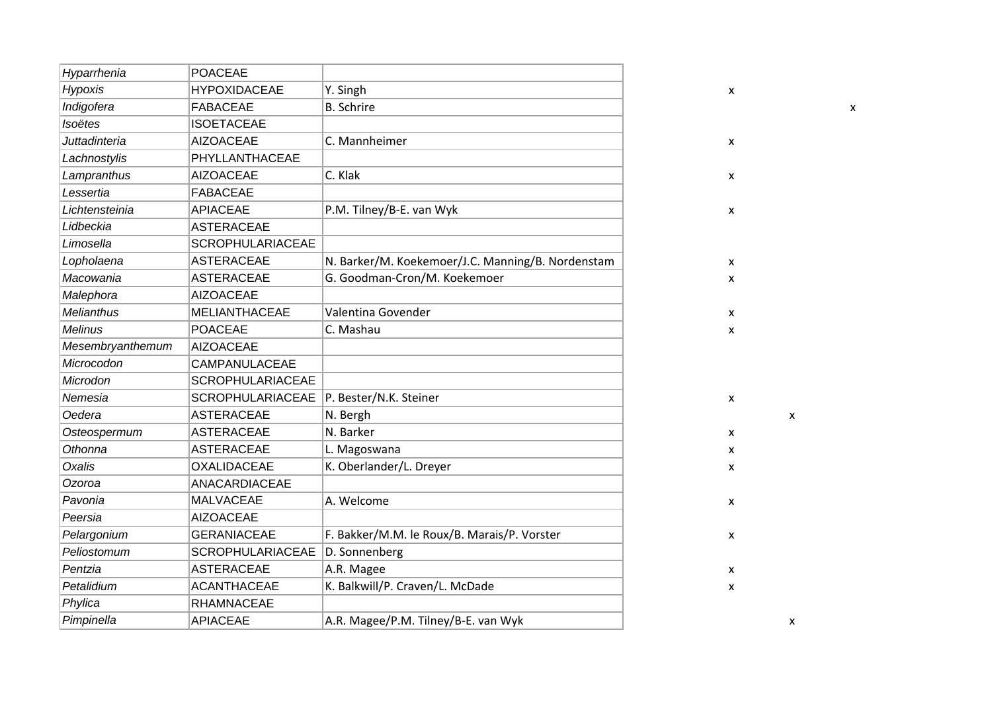| Hyparrhenia          | <b>POACEAE</b>          |                                                   |                    |
|----------------------|-------------------------|---------------------------------------------------|--------------------|
| <b>Hypoxis</b>       | <b>HYPOXIDACEAE</b>     | Y. Singh                                          | X                  |
| Indigofera           | <b>FABACEAE</b>         | <b>B.</b> Schrire                                 |                    |
| Isoëtes              | <b>ISOETACEAE</b>       |                                                   |                    |
| <b>Juttadinteria</b> | <b>AIZOACEAE</b>        | C. Mannheimer                                     | $\pmb{\mathsf{X}}$ |
| Lachnostylis         | PHYLLANTHACEAE          |                                                   |                    |
| Lampranthus          | <b>AIZOACEAE</b>        | C. Klak                                           | $\pmb{\mathsf{X}}$ |
| Lessertia            | <b>FABACEAE</b>         |                                                   |                    |
| Lichtensteinia       | <b>APIACEAE</b>         | P.M. Tilney/B-E. van Wyk                          | $\pmb{\mathsf{X}}$ |
| Lidbeckia            | <b>ASTERACEAE</b>       |                                                   |                    |
| Limosella            | <b>SCROPHULARIACEAE</b> |                                                   |                    |
| Lopholaena           | <b>ASTERACEAE</b>       | N. Barker/M. Koekemoer/J.C. Manning/B. Nordenstam | X                  |
| Macowania            | <b>ASTERACEAE</b>       | G. Goodman-Cron/M. Koekemoer                      | $\mathsf{x}$       |
| Malephora            | <b>AIZOACEAE</b>        |                                                   |                    |
| <b>Melianthus</b>    | <b>MELIANTHACEAE</b>    | Valentina Govender                                | X                  |
| <b>Melinus</b>       | <b>POACEAE</b>          | C. Mashau                                         | X                  |
| Mesembryanthemum     | <b>AIZOACEAE</b>        |                                                   |                    |
| Microcodon           | CAMPANULACEAE           |                                                   |                    |
| Microdon             | <b>SCROPHULARIACEAE</b> |                                                   |                    |
| Nemesia              | <b>SCROPHULARIACEAE</b> | P. Bester/N.K. Steiner                            | X                  |
| Oedera               | <b>ASTERACEAE</b>       | N. Bergh                                          | X                  |
| Osteospermum         | <b>ASTERACEAE</b>       | N. Barker                                         | X                  |
| Othonna              | <b>ASTERACEAE</b>       | L. Magoswana                                      | x                  |
| Oxalis               | <b>OXALIDACEAE</b>      | K. Oberlander/L. Dreyer                           | X                  |
| Ozoroa               | ANACARDIACEAE           |                                                   |                    |
| Pavonia              | <b>MALVACEAE</b>        | A. Welcome                                        | x                  |
| Peersia              | <b>AIZOACEAE</b>        |                                                   |                    |
| Pelargonium          | <b>GERANIACEAE</b>      | F. Bakker/M.M. le Roux/B. Marais/P. Vorster       | X                  |
| Peliostomum          | <b>SCROPHULARIACEAE</b> | D. Sonnenberg                                     |                    |
| Pentzia              | <b>ASTERACEAE</b>       | A.R. Magee                                        | X                  |
| Petalidium           | <b>ACANTHACEAE</b>      | K. Balkwill/P. Craven/L. McDade                   | X                  |
| Phylica              | <b>RHAMNACEAE</b>       |                                                   |                    |
| Pimpinella           | <b>APIACEAE</b>         | A.R. Magee/P.M. Tilney/B-E. van Wyk               | x                  |
|                      |                         |                                                   |                    |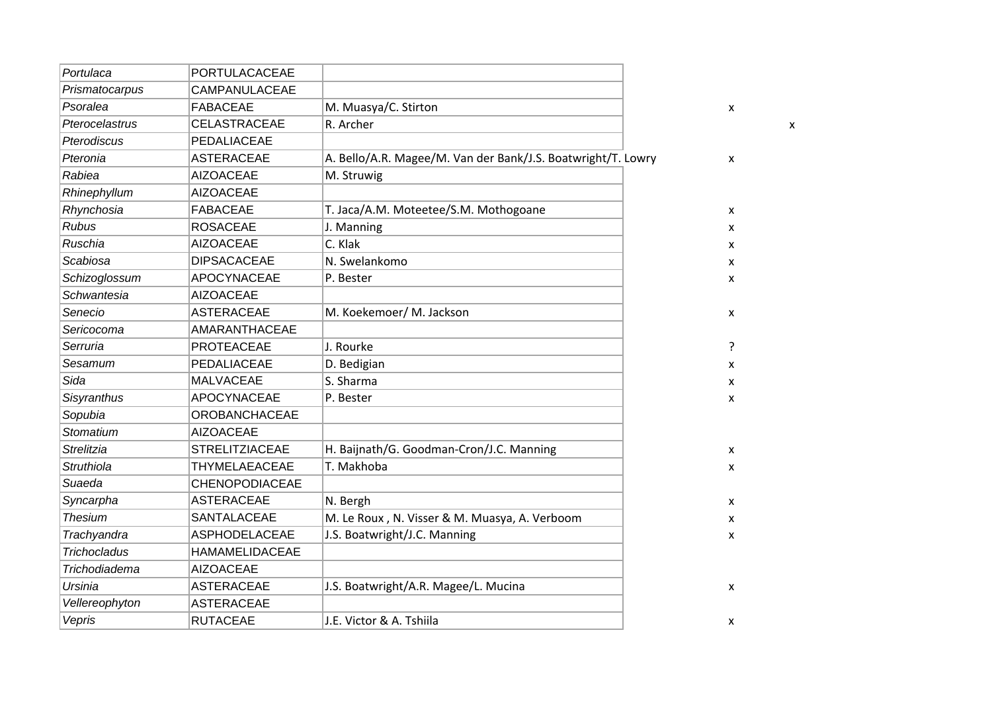| Portulaca           | PORTULACACEAE         |                                                              |   |   |
|---------------------|-----------------------|--------------------------------------------------------------|---|---|
| Prismatocarpus      | CAMPANULACEAE         |                                                              |   |   |
| Psoralea            | <b>FABACEAE</b>       | M. Muasya/C. Stirton                                         | X |   |
| Pterocelastrus      | <b>CELASTRACEAE</b>   | R. Archer                                                    |   | x |
| Pterodiscus         | PEDALIACEAE           |                                                              |   |   |
| Pteronia            | <b>ASTERACEAE</b>     | A. Bello/A.R. Magee/M. Van der Bank/J.S. Boatwright/T. Lowry | x |   |
| Rabiea              | <b>AIZOACEAE</b>      | M. Struwig                                                   |   |   |
| Rhinephyllum        | <b>AIZOACEAE</b>      |                                                              |   |   |
| Rhynchosia          | <b>FABACEAE</b>       | T. Jaca/A.M. Moteetee/S.M. Mothogoane                        | x |   |
| <b>Rubus</b>        | <b>ROSACEAE</b>       | J. Manning                                                   | x |   |
| Ruschia             | <b>AIZOACEAE</b>      | C. Klak                                                      | x |   |
| Scabiosa            | <b>DIPSACACEAE</b>    | N. Swelankomo                                                | x |   |
| Schizoglossum       | APOCYNACEAE           | P. Bester                                                    | x |   |
| Schwantesia         | <b>AIZOACEAE</b>      |                                                              |   |   |
| Senecio             | <b>ASTERACEAE</b>     | M. Koekemoer/ M. Jackson                                     | X |   |
| Sericocoma          | AMARANTHACEAE         |                                                              |   |   |
| Serruria            | <b>PROTEACEAE</b>     | J. Rourke                                                    | ? |   |
| Sesamum             | PEDALIACEAE           | D. Bedigian                                                  | x |   |
| Sida                | <b>MALVACEAE</b>      | S. Sharma                                                    | x |   |
| Sisyranthus         | APOCYNACEAE           | P. Bester                                                    | x |   |
| Sopubia             | <b>OROBANCHACEAE</b>  |                                                              |   |   |
| Stomatium           | <b>AIZOACEAE</b>      |                                                              |   |   |
| <b>Strelitzia</b>   | <b>STRELITZIACEAE</b> | H. Baijnath/G. Goodman-Cron/J.C. Manning                     | X |   |
| Struthiola          | THYMELAEACEAE         | T. Makhoba                                                   | X |   |
| Suaeda              | <b>CHENOPODIACEAE</b> |                                                              |   |   |
| Syncarpha           | <b>ASTERACEAE</b>     | N. Bergh                                                     | X |   |
| <b>Thesium</b>      | SANTALACEAE           | M. Le Roux, N. Visser & M. Muasya, A. Verboom                | x |   |
| Trachyandra         | ASPHODELACEAE         | J.S. Boatwright/J.C. Manning                                 | x |   |
| <b>Trichocladus</b> | <b>HAMAMELIDACEAE</b> |                                                              |   |   |
| Trichodiadema       | <b>AIZOACEAE</b>      |                                                              |   |   |
| Ursinia             | <b>ASTERACEAE</b>     | J.S. Boatwright/A.R. Magee/L. Mucina                         | X |   |
| Vellereophyton      | <b>ASTERACEAE</b>     |                                                              |   |   |
| Vepris              | <b>RUTACEAE</b>       | J.E. Victor & A. Tshiila                                     | X |   |